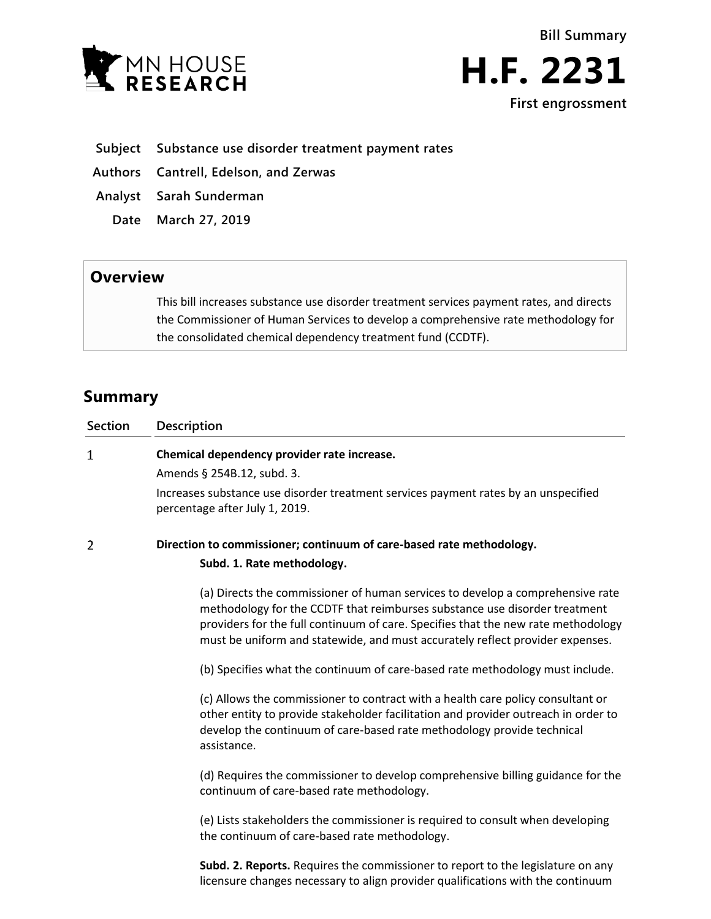



- **Subject Substance use disorder treatment payment rates**
- **Authors Cantrell, Edelson, and Zerwas**
- **Analyst Sarah Sunderman**
	- **Date March 27, 2019**

## **Overview**

This bill increases substance use disorder treatment services payment rates, and directs the Commissioner of Human Services to develop a comprehensive rate methodology for the consolidated chemical dependency treatment fund (CCDTF).

## **Summary**

| <b>Section</b> | Description                                                                                                                                                                                                                                                                                                                        |
|----------------|------------------------------------------------------------------------------------------------------------------------------------------------------------------------------------------------------------------------------------------------------------------------------------------------------------------------------------|
| 1              | Chemical dependency provider rate increase.                                                                                                                                                                                                                                                                                        |
|                | Amends § 254B.12, subd. 3.                                                                                                                                                                                                                                                                                                         |
|                | Increases substance use disorder treatment services payment rates by an unspecified<br>percentage after July 1, 2019.                                                                                                                                                                                                              |
| $\overline{2}$ | Direction to commissioner; continuum of care-based rate methodology.                                                                                                                                                                                                                                                               |
|                | Subd. 1. Rate methodology.                                                                                                                                                                                                                                                                                                         |
|                | (a) Directs the commissioner of human services to develop a comprehensive rate<br>methodology for the CCDTF that reimburses substance use disorder treatment<br>providers for the full continuum of care. Specifies that the new rate methodology<br>must be uniform and statewide, and must accurately reflect provider expenses. |
|                | (b) Specifies what the continuum of care-based rate methodology must include.                                                                                                                                                                                                                                                      |
|                | (c) Allows the commissioner to contract with a health care policy consultant or<br>other entity to provide stakeholder facilitation and provider outreach in order to<br>develop the continuum of care-based rate methodology provide technical<br>assistance.                                                                     |
|                | (d) Requires the commissioner to develop comprehensive billing guidance for the<br>continuum of care-based rate methodology.                                                                                                                                                                                                       |
|                | (e) Lists stakeholders the commissioner is required to consult when developing<br>the continuum of care-based rate methodology.                                                                                                                                                                                                    |
|                | Subd. 2. Reports. Requires the commissioner to report to the legislature on any<br>licensure changes necessary to align provider qualifications with the continuum                                                                                                                                                                 |